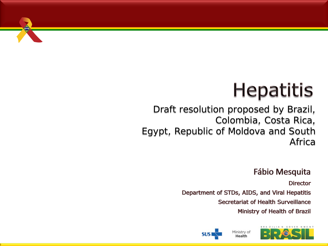

## **Hepatitis**

#### Draft resolution proposed by Brazil, Colombia, Costa Rica, Egypt, Republic of Moldova and South Africa

#### **Fábio Mesquita**

**Director** Department of STDs, AIDS, and Viral Hepatitis **Secretariat of Health Surveillance** Ministry of Health of Brazil





**SUS**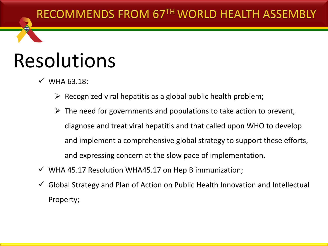#### RECOMMENDS FROM 67TH WORLD HEALTH ASSEMBLY

## Resolutions

- $\checkmark$  WHA 63.18:
	- $\triangleright$  Recognized viral hepatitis as a global public health problem;
	- $\triangleright$  The need for governments and populations to take action to prevent, diagnose and treat viral hepatitis and that called upon WHO to develop and implement a comprehensive global strategy to support these efforts, and expressing concern at the slow pace of implementation.
- $\checkmark$  WHA 45.17 Resolution WHA45.17 on Hep B immunization;
- $\checkmark$  Global Strategy and Plan of Action on Public Health Innovation and Intellectual Property;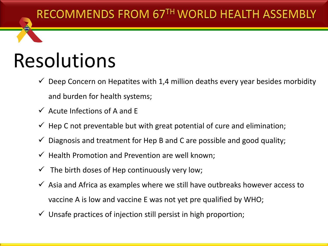#### RECOMMENDS FROM 67TH WORLD HEALTH ASSEMBLY

### Resolutions

- $\checkmark$  Deep Concern on Hepatites with 1,4 million deaths every year besides morbidity and burden for health systems;
- $\checkmark$  Acute Infections of A and F
- $\checkmark$  Hep C not preventable but with great potential of cure and elimination;
- $\checkmark$  Diagnosis and treatment for Hep B and C are possible and good quality;
- $\checkmark$  Health Promotion and Prevention are well known;
- The birth doses of Hep continuously very low;
- $\checkmark$  Asia and Africa as examples where we still have outbreaks however access to vaccine A is low and vaccine E was not yet pre qualified by WHO;
- $\checkmark$  Unsafe practices of injection still persist in high proportion;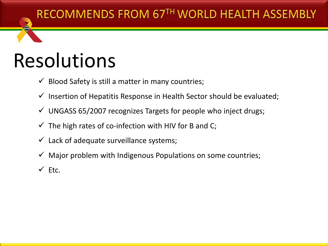#### RECOMMENDS FROM 67TH WORLD HEALTH ASSEMBLY

### Resolutions

- $\checkmark$  Blood Safety is still a matter in many countries;
- $\checkmark$  Insertion of Hepatitis Response in Health Sector should be evaluated;
- $\checkmark$  UNGASS 65/2007 recognizes Targets for people who inject drugs;
- $\checkmark$  The high rates of co-infection with HIV for B and C;
- $\checkmark$  Lack of adequate surveillance systems;
- $\checkmark$  Major problem with Indigenous Populations on some countries;
- $\checkmark$  Ftc.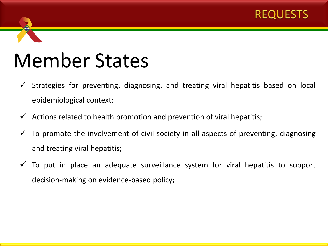

- $\checkmark$  Strategies for preventing, diagnosing, and treating viral hepatitis based on local epidemiological context;
- $\checkmark$  Actions related to health promotion and prevention of viral hepatitis;
- $\checkmark$  To promote the involvement of civil society in all aspects of preventing, diagnosing and treating viral hepatitis;
- $\checkmark$  To put in place an adequate surveillance system for viral hepatitis to support decision-making on evidence-based policy;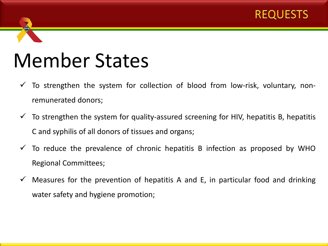

- $\checkmark$  To strengthen the system for collection of blood from low-risk, voluntary, nonremunerated donors;
- $\checkmark$  To strengthen the system for quality-assured screening for HIV, hepatitis B, hepatitis C and syphilis of all donors of tissues and organs;
- $\checkmark$  To reduce the prevalence of chronic hepatitis B infection as proposed by WHO Regional Committees;
- $\checkmark$  Measures for the prevention of hepatitis A and E, in particular food and drinking water safety and hygiene promotion;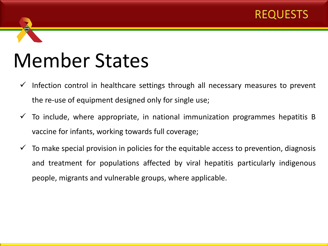

- $\checkmark$  Infection control in healthcare settings through all necessary measures to prevent the re-use of equipment designed only for single use;
- $\checkmark$  To include, where appropriate, in national immunization programmes hepatitis B vaccine for infants, working towards full coverage;
- $\checkmark$  To make special provision in policies for the equitable access to prevention, diagnosis and treatment for populations affected by viral hepatitis particularly indigenous people, migrants and vulnerable groups, where applicable.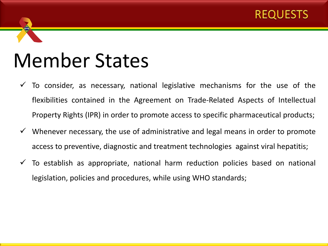

- To consider, as necessary, national legislative mechanisms for the use of the flexibilities contained in the Agreement on Trade-Related Aspects of Intellectual Property Rights (IPR) in order to promote access to specific pharmaceutical products;
- Whenever necessary, the use of administrative and legal means in order to promote access to preventive, diagnostic and treatment technologies against viral hepatitis;
- $\checkmark$  To establish as appropriate, national harm reduction policies based on national legislation, policies and procedures, while using WHO standards;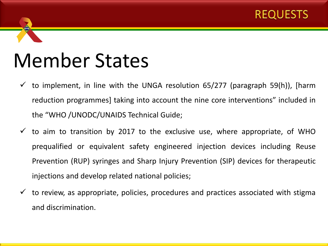

- $\checkmark$  to implement, in line with the UNGA resolution 65/277 (paragraph 59(h)), [harm reduction programmes] taking into account the nine core interventions" included in the "WHO /UNODC/UNAIDS Technical Guide;
- $\checkmark$  to aim to transition by 2017 to the exclusive use, where appropriate, of WHO prequalified or equivalent safety engineered injection devices including Reuse Prevention (RUP) syringes and Sharp Injury Prevention (SIP) devices for therapeutic injections and develop related national policies;
- $\checkmark$  to review, as appropriate, policies, procedures and practices associated with stigma and discrimination.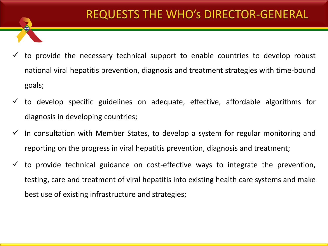- to provide the necessary technical support to enable countries to develop robust national viral hepatitis prevention, diagnosis and treatment strategies with time-bound goals;
- to develop specific guidelines on adequate, effective, affordable algorithms for diagnosis in developing countries;
- $\checkmark$  In consultation with Member States, to develop a system for regular monitoring and reporting on the progress in viral hepatitis prevention, diagnosis and treatment;
- to provide technical guidance on cost-effective ways to integrate the prevention, testing, care and treatment of viral hepatitis into existing health care systems and make best use of existing infrastructure and strategies;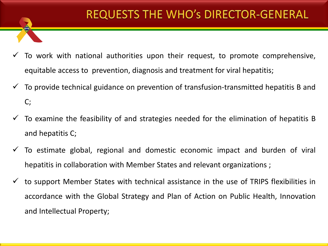- To work with national authorities upon their request, to promote comprehensive, equitable access to prevention, diagnosis and treatment for viral hepatitis;
- To provide technical guidance on prevention of transfusion-transmitted hepatitis B and C;
- To examine the feasibility of and strategies needed for the elimination of hepatitis B and hepatitis C;
- To estimate global, regional and domestic economic impact and burden of viral hepatitis in collaboration with Member States and relevant organizations ;
- to support Member States with technical assistance in the use of TRIPS flexibilities in accordance with the Global Strategy and Plan of Action on Public Health, Innovation and Intellectual Property;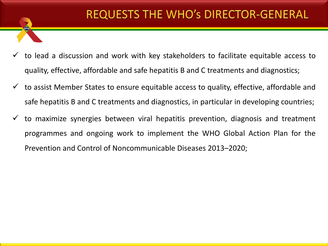- to lead a discussion and work with key stakeholders to facilitate equitable access to quality, effective, affordable and safe hepatitis B and C treatments and diagnostics;
- to assist Member States to ensure equitable access to quality, effective, affordable and safe hepatitis B and C treatments and diagnostics, in particular in developing countries;
- to maximize synergies between viral hepatitis prevention, diagnosis and treatment programmes and ongoing work to implement the WHO Global Action Plan for the Prevention and Control of Noncommunicable Diseases 2013–2020;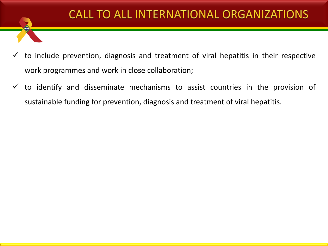#### CALL TO ALL INTERNATIONAL ORGANIZATIONS

- to include prevention, diagnosis and treatment of viral hepatitis in their respective work programmes and work in close collaboration;
- $\checkmark$  to identify and disseminate mechanisms to assist countries in the provision of sustainable funding for prevention, diagnosis and treatment of viral hepatitis.